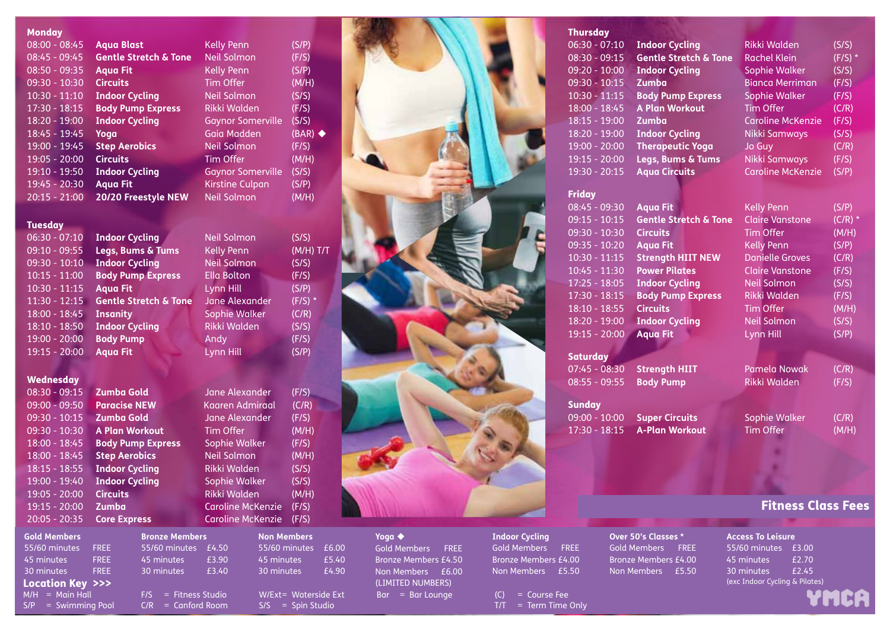#### **Monday**

| $08:00 - 08:45$ | <b>Aqua Blast</b>                |
|-----------------|----------------------------------|
| $08:45 - 09:45$ | <b>Gentle Stretch &amp; Tone</b> |
| $08:50 - 09:35$ | <b>Aqua Fit</b>                  |
| $09:30 - 10:30$ | <b>Circuits</b>                  |
| $10:30 - 11:10$ | <b>Indoor Cycling</b>            |
| $17:30 - 18:15$ | <b>Body Pump Express</b>         |
| $18:20 - 19:00$ | <b>Indoor Cycling</b>            |
| $18:45 - 19:45$ | Yoga                             |
| $19:00 - 19:45$ | <b>Step Aerobics</b>             |
| $19:05 - 20:00$ | <b>Circuits</b>                  |
| $19:10 - 19:50$ | <b>Indoor Cycling</b>            |
| $19:45 - 20:30$ | <b>Aqua Fit</b>                  |
| $20:15 - 21:00$ | <b>20/20 Freestyle NEW</b>       |

#### 08:00 - 08:45 **Aqua Blast** Kelly Penn (S/P) Neil Solmon (F/S) 08:50 - 09:35 **Aqua Fit** Kelly Penn (S/P) Tim Offer (M/H) 10:40 Neil Solmon (S/S) 17:30 - 18:15 **Body Pump Express** Rikki Walden (F/S) Gaynor Somerville (S/S) **1855 Gaia Madden (BAR) Neil Solmon (F/S)** Tim Offer (M/H) Gaynor Somerville (S/S) **Kirstine Culpan** (S/P) Neil Solmon (M/H)

Neil Solmon (S/S) 09:10 - 09:55 **Legs, Bums & Tums** Kelly Penn (M/H) T/T Neil Solmon (S/S) 10:15 - 11:00 **Body Pump Express** Ella Bolton (F/S) **10:30 - 11:15 10:30 Lynn Hill** (S/P) Jane Alexander (F/S)<sup>\*</sup> Sophie Walker (C/R) 18:10 - 18:50 **Indoor Cycling** Rikki Walden (S/S)

#### **Tuesday**

| <u> 06:30 - 07:10</u> | Indoor Cycling                   | Nell Solmon        | (כוכ) |
|-----------------------|----------------------------------|--------------------|-------|
| $09:10 - 09:55$       | Legs, Bums & Tums                | <b>Kelly Penn</b>  | (M/H) |
| $09:30 - 10:10$       | <b>Indoor Cycling</b>            | Neil Solmon        | (S/S) |
| $10:15 - 11:00$       | <b>Body Pump Express</b>         | <b>Ella Bolton</b> | (F/S) |
| $10:30 - 11:15$       | <b>Aqua Fit</b>                  | Lynn Hill          | (S/P) |
| $11:30 - 12:15$       | <b>Gentle Stretch &amp; Tone</b> | Jane Alexander     | (F/S) |
| $18:00 - 18:45$       | <b>Insanity</b>                  | Sophie Walker      | (C/R) |
| $18:10 - 18:50$       | <b>Indoor Cycling</b>            | Rikki Walden       | (S/S) |
| $19:00 - 20:00$       | <b>Body Pump</b>                 | Andy               | (F/S) |
| $19:15 - 20:00$       | <b>Aqua Fit</b>                  | Lynn Hill          | (S/P) |

#### **Wednesday**

| $08:30 - 09:15$ | <b>Zumba Gold</b>        |
|-----------------|--------------------------|
| 09:00 - 09:50   | <b>Paracise NEW</b>      |
| 09:30 - 10:15   | <b>Zumba Gold</b>        |
| 09:30 - 10:30   | <b>A Plan Workout</b>    |
| 18:00 - 18:45   | <b>Body Pump Express</b> |
| 18:00 - 18:45   | <b>Step Aerobics</b>     |
| $18:15 - 18:55$ | <b>Indoor Cycling</b>    |
| 19:00 - 19:40   | <b>Indoor Cycling</b>    |
| 19:05 - 20:00   | <b>Circuits</b>          |
| 19:15 - 20:00   | Zumba                    |
| 20:05 - 20:35   | <b>Core Express</b>      |

19:15 - 20:00 **Aqua Fit** Lynn Hill (S/P) Jane Alexander (F/S) Kaaren Admiraal (C/R) Jane Alexander (F/S) Tim Offer (M/H) **18:00 - 18:50 Sophie Walker (F/S)**  $18:15$  -  $18:15$  -  $18:15$  -  $18:15$  -  $18:15$  -  $18:15$  -  $18:15$  -  $18:15$  -  $18:15$  -  $18:15$  -  $18:15$  -  $18:15$  -  $18:15$  -  $18:15$  -  $18:15$  -  $18:15$  -  $18:15$  -  $18:15$  -  $18:15$  -  $18:15$  -  $18:15$  -  $18:15$  -  $1$ 18:15 - 18:55 **Indoor Cycling** Rikki Walden (S/S) **19:00 - 19:00 Sophie Walker (S/S)** 

19:05 - 20:00 **Circuits** Rikki Walden (M/H) Caroline McKenzie (F/S) Caroline McKenzie (F/S)

| <b>Gold Members</b>              |             |
|----------------------------------|-------------|
| 55/60 minutes                    | <b>FREE</b> |
| 45 minutes                       | <b>FREE</b> |
| 30 minutes                       | <b>FREE</b> |
| <b>Location Key &gt;&gt;&gt;</b> |             |
| $M/H =$ Main Hall                |             |

| 45 minutes            | <b>FREE</b> | 45 minutes             | £3.90 | 45 minutes           | £5.40 | Bronze Members £4.50 | Bronze Members £4.00   | Bronze Members £4.00 | 45 minutes                     | £2.70 |
|-----------------------|-------------|------------------------|-------|----------------------|-------|----------------------|------------------------|----------------------|--------------------------------|-------|
| 30 minutes            | <b>FREE</b> | 30 minutes             | £3.40 | 30 minutes           | £4.90 | Non Members £6.00    | Non Members £5.50      | Non Members £5.50    | 30 minutes                     | £2.45 |
| Location Key >>>      |             |                        |       |                      |       | (LIMITED NUMBERS)    |                        |                      | (exc Indoor Cycling & Pilates) |       |
| $M/H =$ Main Hall     |             | $F/S =$ Fitness Studio |       | W/Ext= Waterside Ext |       | $Bar = Bar$ Lounge   | $(C) = Course$ Fee     |                      |                                | Ч     |
| $S/P =$ Swimming Pool |             | $C/R =$ Canford Room   |       | $S/S = Spin$ Studio  |       |                      | $T/T = Term Time Only$ |                      |                                |       |

**Bronze Members** 55/60 minutes £4.50

W/Fxt= Waterside Ext S/S = Spin Studio 55/60 minutes £6.00 45 minutes £5.40 30 minutes £4.90

**Non Members**



### **Yoga** Gold Members FREE Bronze Members £4.50

**Indoor Cycling** Gold Members FREE Bronze Members £4.00 Non Members £5.50

| Over 50's Classes *         |  |  |  |  |  |
|-----------------------------|--|--|--|--|--|
| Gold Members FREE           |  |  |  |  |  |
| <b>Bronze Members £4.00</b> |  |  |  |  |  |
| Non Members £5.50           |  |  |  |  |  |

# **Access To Leisure**

55/60 minutes £3.00 45 minutes £2.70 30 minutes £2.45

| YMCA |  |
|------|--|
|      |  |
|      |  |

| Thursday        |                                  |                          |           |
|-----------------|----------------------------------|--------------------------|-----------|
| $06:30 - 07:10$ | <b>Indoor Cycling</b>            | Rikki Walden             | (S/S)     |
| $08:30 - 09:15$ | <b>Gentle Stretch &amp; Tone</b> | Rachel Klein             | $(F/S)$ * |
| $09:20 - 10:00$ | <b>Indoor Cycling</b>            | Sophie Walker            | (S/S)     |
| $09:30 - 10:15$ | Zumba                            | <b>Bianca Merriman</b>   | (F/S)     |
| $10:30 - 11:15$ | <b>Body Pump Express</b>         | Sophie Walker            | (F/S)     |
| $18:00 - 18:45$ | <b>A Plan Workout</b>            | <b>Tim Offer</b>         | (C/R)     |
| $18:15 - 19:00$ | <b>Zumba</b>                     | <b>Caroline McKenzie</b> | (F/S)     |
| $18:20 - 19:00$ | <b>Indoor Cycling</b>            | Nikki Samways            | (S/S)     |
| $19:00 - 20:00$ | <b>Therapeutic Yoga</b>          | Jo Guy                   | (C/R)     |
| $19:15 - 20:00$ | Legs, Bums & Tums                | Nikki Samways            | (F/S)     |
| $19:30 - 20:15$ | <b>Aqua Circuits</b>             | <b>Caroline McKenzie</b> | (S/P)     |

#### Friday

| $08:45 - 09:30$ | <b>Aqua Fit</b>                  | <b>Kelly Penn</b>      | (S/P)     |
|-----------------|----------------------------------|------------------------|-----------|
| $09:15 - 10:15$ | <b>Gentle Stretch &amp; Tone</b> | <b>Claire Vanstone</b> | $(C/R)$ * |
| $09:30 - 10:30$ | <b>Circuits</b>                  | Tim Offer              | (M/H)     |
| $09:35 - 10:20$ | <b>Aqua Fit</b>                  | <b>Kelly Penn</b>      | (S/P)     |
| $10:30 - 11:15$ | <b>Strength HIIT NEW</b>         | <b>Danielle Groves</b> | (C/R)     |
| $10:45 - 11:30$ | <b>Power Pilates</b>             | <b>Claire Vanstone</b> | (F/S)     |
| $17:25 - 18:05$ | <b>Indoor Cycling</b>            | Neil Solmon            | (S/S)     |
| $17:30 - 18:15$ | <b>Body Pump Express</b>         | Rikki Walden           | (F/S)     |
| $18:10 - 18:55$ | <b>Circuits</b>                  | Tim Offer              | (M/H)     |
| $18:20 - 19:00$ | <b>Indoor Cycling</b>            | Neil Solmon            | (S/S)     |
| $19:15 - 20:00$ | <b>Aqua Fit</b>                  | Lynn Hill              | (S/P)     |
|                 |                                  |                        |           |

#### **Saturday**

07:45 - 08:30 **Strength HIIT** Pamela Nowak (C/R) 08:55 - 09:55 **Body Pump** Rikki Walden (F/S)

**Sunday** 09:00 - 10:00 **Super Circuits** Sophie Walker (C/R) 17:30 - 18:15 **A-Plan Workout** Tim Offer (M/H)

Fitness Class Fees